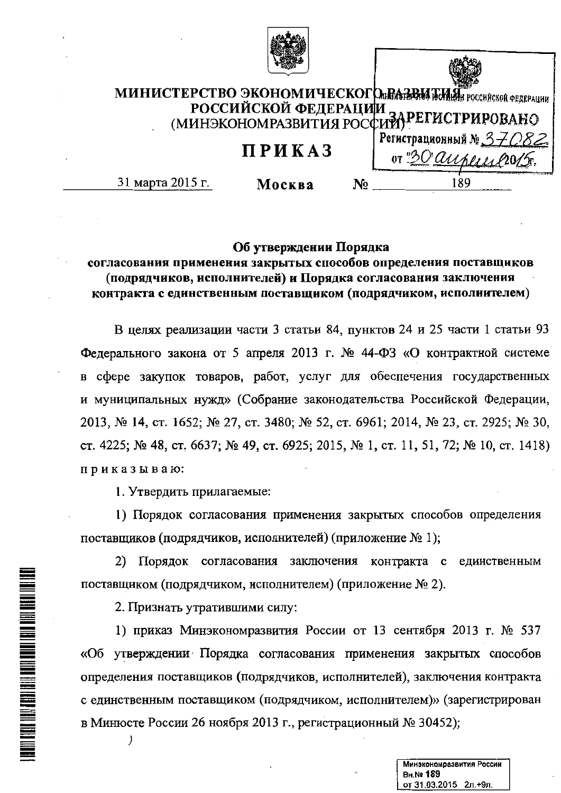

# МИНИСТЕРСТВО ЭКОНОМИЧЕСКОГО ПАВЕНИЯ ГОССИЙСКОЙ ФЕДЕРАЦИИ РОССИЙСКОЙ ФЕДЕРАЦИИ<br>(МИНЭКОНОМРАЗВИТИЯ РОССИЙ) РЕГИСТРИРОВАНО

# ПРИКАЗ

31 марта 2015 г.

Москва

Регистрационный № OT "30 auper 189 N<sub>2</sub>

# Об утверждении Порядка

# согласования применения закрытых способов определения поставщиков (подрядчиков, исполнителей) и Порядка согласования заключения контракта с единственным поставщиком (подрядчиком, исполнителем)

В целях реализации части 3 статьи 84, пунктов 24 и 25 части 1 статьи 93 Федерального закона от 5 апреля 2013 г. № 44-ФЗ «О контрактной системе в сфере закупок товаров, работ, услуг для обеспечения государственных и муниципальных нужд» (Собрание законодательства Российской Федерации, 2013, № 14, ст. 1652; № 27, ст. 3480; № 52, ст. 6961; 2014, № 23, ст. 2925; № 30, ст. 4225; № 48, ст. 6637; № 49, ст. 6925; 2015, № 1, ст. 11, 51, 72; № 10, ст. 1418) приказываю:

1. Утвердить прилагаемые:

1) Порядок согласования применения закрытых способов определения поставщиков (подрядчиков, исполнителей) (приложение № 1);

2) Порядок согласования заключения контракта с единственным поставщиком (подрядчиком, исполнителем) (приложение № 2).

2. Признать утратившими силу:

 $\prime$ 

**A BERTAH DENGAN DENGAN DENGAN DENGAN DENGAN DENGAN DENGAN DENGAN DENGAN DENGAN DENGAN DENGAN DENGAN DENGAN DE**NG

1) приказ Минэкономразвития России от 13 сентября 2013 г. № 537 «Об утверждении Порядка согласования применения закрытых способов определения поставщиков (подрядчиков, исполнителей), заключения контракта с единственным поставщиком (подрядчиком, исполнителем)» (зарегистрирован в Минюсте России 26 ноября 2013 г., регистрационный № 30452);

> Минэкономразвития России **BH.Nº 189** от 31.03.2015 2л.+9л.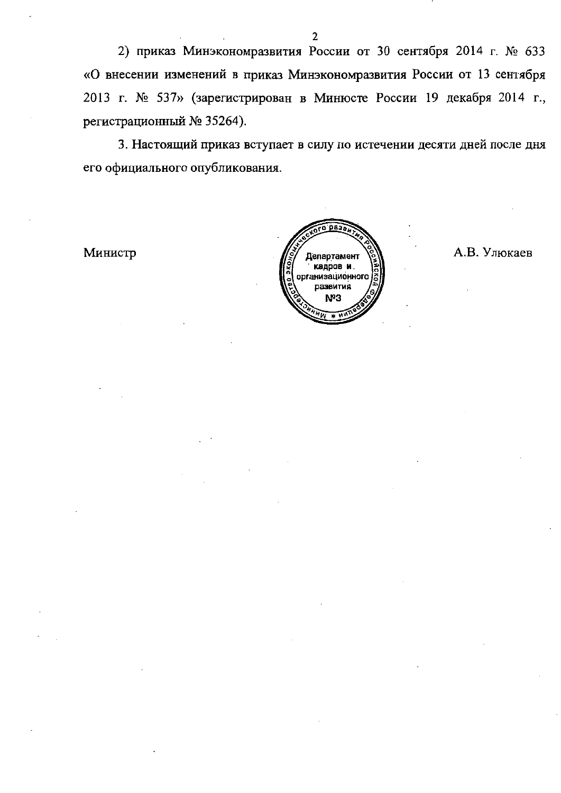2) приказ Минэкономразвития России от 30 сентября 2014 г. № 633 «О внесении изменений в приказ Минэкономразвития России от 13 сентября 2013 г. № 537» (зарегистрирован в Минюсте России 19 декабря 2014 г., регистрационный № 35264).

3. Настоящий приказ вступает в силу по истечении десяти дней после дня его официального опубликования.

Министр



А.В. Улюкаев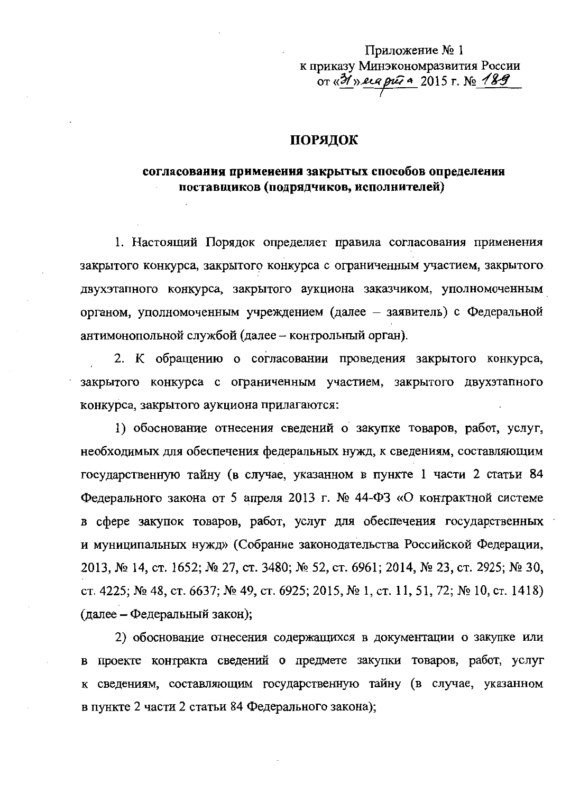Приложение № 1 к приказу Минэкономразвития России OT «31» erg put a 2015 г. № 189

#### ПОРЯДОК

## согласования применения закрытых способов определения поставщиков (подрядчиков, исполнителей)

1. Настоящий Порядок определяет правила согласования применения закрытого конкурса, закрытого конкурса с ограниченным участием, закрытого. двухэтапного конкурса, закрытого аукциона заказчиком, уполномоченным органом, уполномоченным учреждением (далее - заявитель) с Федеральной антимонопольной службой (далее - контрольный орган).

2. К обращению о согласовании проведения закрытого конкурса, закрытого конкурса с ограниченным участием, закрытого двухэтапного конкурса, закрытого аукциона прилагаются:

1) обоснование отнесения сведений о закупке товаров, работ, услуг, необходимых для обеспечения федеральных нужд, к сведениям, составляющим государственную тайну (в случае, указанном в пункте 1 части 2 статьи 84 Федерального закона от 5 апреля 2013 г. № 44-ФЗ «О контрактной системе в сфере закупок товаров, работ, услуг для обеспечения государственных и муниципальных нужд» (Собрание законодательства Российской Федерации, 2013, № 14, ст. 1652; № 27, ст. 3480; № 52, ст. 6961; 2014, № 23, ст. 2925; № 30, ст. 4225; № 48, ст. 6637; № 49, ст. 6925; 2015, № 1, ст. 11, 51, 72; № 10, ст. 1418) (далее – Федеральный закон);

2) обоснование отнесения содержащихся в документации о закупке или в проекте контракта сведений о предмете закупки товаров, работ, услуг к сведениям, составляющим государственную тайну (в случае, указанном в пункте 2 части 2 статьи 84 Федерального закона);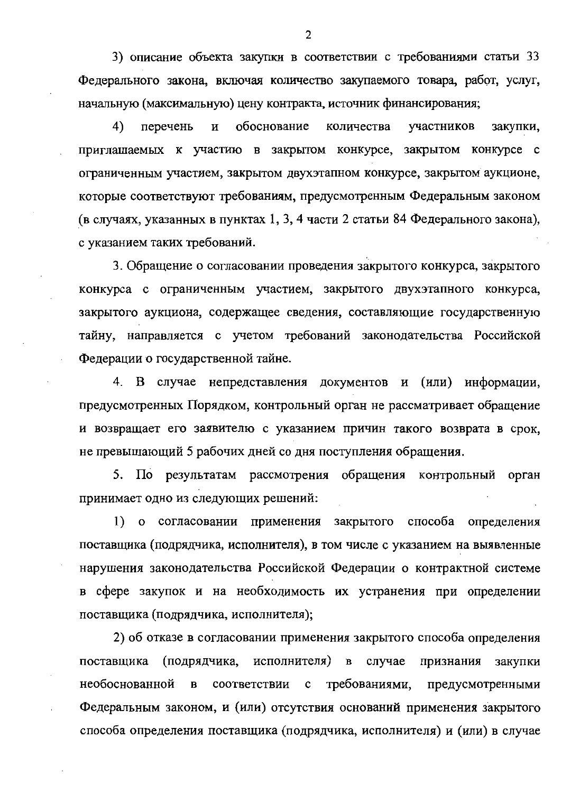3) описание объекта закупки в соответствии с требованиями статьи 33 Федерального закона, включая количество закупаемого товара, работ, услуг, начальную (максимальную) цену контракта, источник финансирования;

обоснование 4) перечень  $\, {\bf N}$ количества участников закупки, приглашаемых к участию в закрытом конкурсе, закрытом конкурсе с ограниченным участием, закрытом двухэтапном конкурсе, закрытом аукционе, которые соответствуют требованиям, предусмотренным Федеральным законом (в случаях, указанных в пунктах 1, 3, 4 части 2 статьи 84 Федерального закона), с указанием таких требований.

3. Обращение о согласовании проведения закрытого конкурса, закрытого конкурса с ограниченным участием, закрытого двухэтапного конкурса, закрытого аукциона, содержащее сведения, составляющие государственную тайну, направляется с учетом требований законодательства Российской Федерации о государственной тайне.

4. В случае непредставления документов и (или) информации, предусмотренных Порядком, контрольный орган не рассматривает обращение и возвращает его заявителю с указанием причин такого возврата в срок, не превышающий 5 рабочих дней со дня поступления обращения.

5. По результатам рассмотрения обращения контрольный орган принимает одно из следующих решений:

1) о согласовании применения закрытого способа определения поставщика (подрядчика, исполнителя), в том числе с указанием на выявленные нарушения законодательства Российской Федерации о контрактной системе в сфере закупок и на необходимость их устранения при определении поставщика (подрядчика, исполнителя);

2) об отказе в согласовании применения закрытого способа определения исполнителя) в поставщика (подрядчика, случае признания закупки необоснованной соответствии требованиями,  $\, {\bf B}$  $\mathbf c$ предусмотренными Федеральным законом, и (или) отсутствия оснований применения закрытого способа определения поставщика (подрядчика, исполнителя) и (или) в случае

2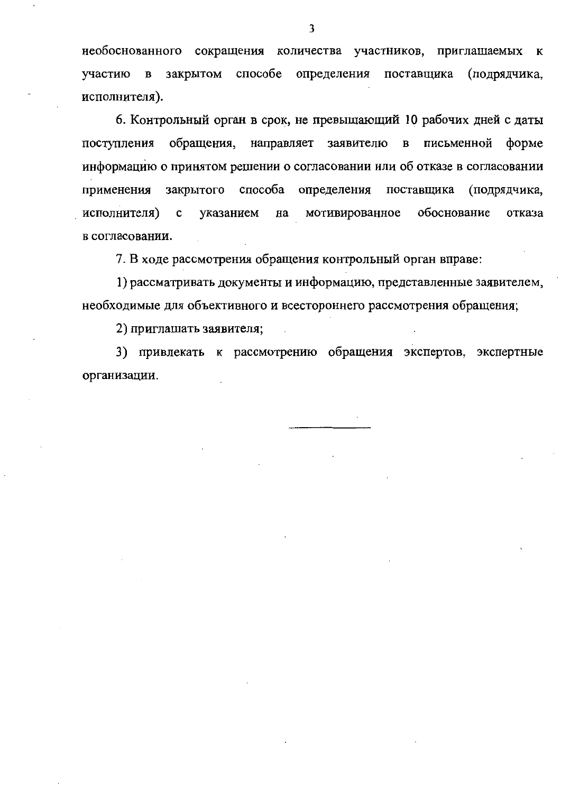необоснованного сокращения количества участников, приглашаемых  ${\bf K}$ способе определения поставщика (подрядчика, участию в закрытом исполнителя).

6. Контрольный орган в срок, не превышающий 10 рабочих дней с даты поступления обращения, направляет заявителю в письменной форме информацию о принятом решении о согласовании или об отказе в согласовании закрытого способа определения поставщика (подрядчика, применения обоснование исполнителя)  $\mathbf c$ указанием на мотивированное отказа в согласовании.

7. В ходе рассмотрения обращения контрольный орган вправе:

1) рассматривать документы и информацию, представленные заявителем, необходимые для объективного и всестороннего рассмотрения обращения;

2) приглашать заявителя;

3) привлекать к рассмотрению обращения экспертов, экспертные организации.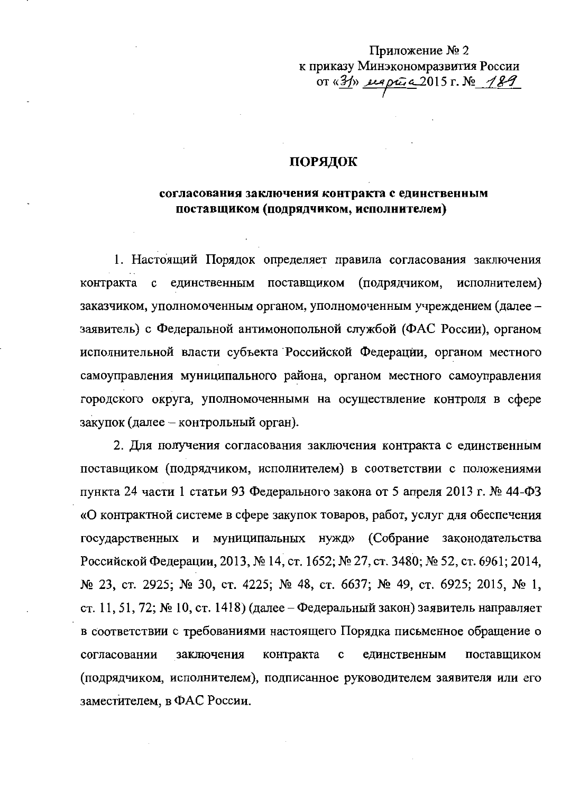# Приложение № 2 к приказу Минэкономразвития России or  $\frac{3}{2}$  eleptra 2015 r. No 189

### ПОРЯДОК

## согласования заключения контракта с единственным поставщиком (подрядчиком, исполнителем)

1. Настоящий Порядок определяет правила согласования заключения поставщиком единственным (подрядчиком, исполнителем) контракта  $\mathbf{C}$ заказчиком, уполномоченным органом, уполномоченным учреждением (далее заявитель) с Федеральной антимонопольной службой (ФАС России), органом исполнительной власти субъекта Российской Федерации, органом местного самоуправления муниципального района, органом местного самоуправления городского округа, уполномоченными на осуществление контроля в сфере закупок (далее – контрольный орган).

2. Для получения согласования заключения контракта с единственным поставщиком (подрядчиком, исполнителем) в соответствии с положениями пункта 24 части 1 статьи 93 Федерального закона от 5 апреля 2013 г. № 44-ФЗ «О контрактной системе в сфере закупок товаров, работ, услуг для обеспечения государственных и муниципальных нужд» (Собрание законодательства Российской Федерации, 2013, № 14, ст. 1652; № 27, ст. 3480; № 52, ст. 6961; 2014, № 23, ст. 2925; № 30, ст. 4225; № 48, ст. 6637; № 49, ст. 6925; 2015, № 1, ст. 11, 51, 72; № 10, ст. 1418) (далее – Федеральный закон) заявитель направляет в соответствии с требованиями настоящего Порядка письменное обращение о заключения контракта единственным поставщиком согласовании  $\mathbf c$ (подрядчиком, исполнителем), подписанное руководителем заявителя или его заместителем, в ФАС России.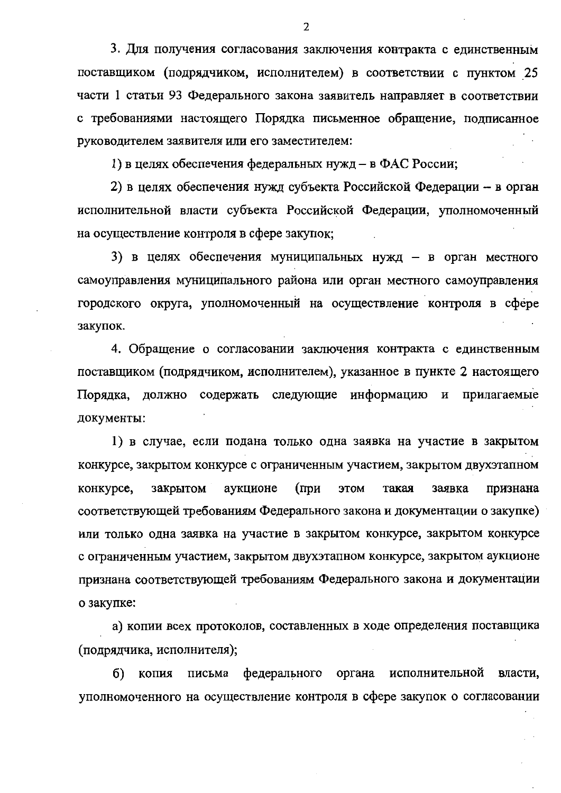3. Для получения согласования заключения контракта с единственным поставщиком (подрядчиком, исполнителем) в соответствии с пунктом 25 части 1 статьи 93 Федерального закона заявитель направляет в соответствии с требованиями настоящего Порядка письменное обращение, подписанное руководителем заявителя или его заместителем:

1) в целях обеспечения федеральных нужд – в ФАС России;

2) в целях обеспечения нужд субъекта Российской Федерации - в орган исполнительной власти субъекта Российской Федерации, уполномоченный на осуществление контроля в сфере закупок;

3) в целях обеспечения муниципальных нужд – в орган местного самоуправления муниципального района или орган местного самоуправления городского округа, уполномоченный на осуществление контроля в сфере закупок.

4. Обращение о согласовании заключения контракта с единственным поставщиком (подрядчиком, исполнителем), указанное в пункте 2 настоящего Порядка, должно содержать следующие информацию и прилагаемые документы:

1) в случае, если подана только одна заявка на участие в закрытом конкурсе, закрытом конкурсе с ограниченным участием, закрытом двухэтапном конкурсе, закрытом аукционе  $(np)$ этом такая заявка признана соответствующей требованиям Федерального закона и документации о закупке) или только одна заявка на участие в закрытом конкурсе, закрытом конкурсе с ограниченным участием, закрытом двухэтапном конкурсе, закрытом аукционе признана соответствующей требованиям Федерального закона и документации о закупке:

а) копии всех протоколов, составленных в ходе определения поставщика (подрядчика, исполнителя);

б) федерального органа исполнительной власти, копия письма уполномоченного на осуществление контроля в сфере закупок о согласовании

 $\overline{2}$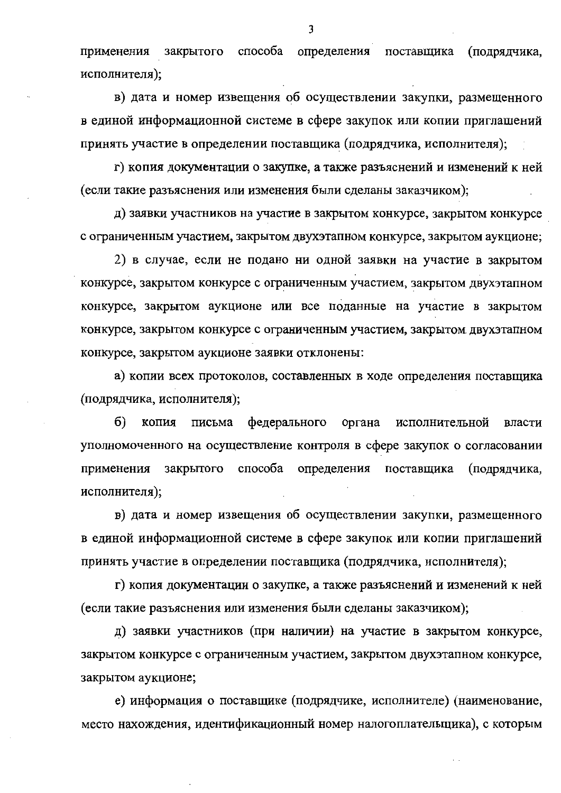способа определения поставщика (подрядчика, применения закрытого исполнителя);

в) дата и номер извещения об осуществлении закупки, размещенного в единой информационной системе в сфере закупок или копии приглашений принять участие в определении поставщика (подрядчика, исполнителя);

г) копия документации о закупке, а также разъяснений и изменений к ней (если такие разъяснения или изменения были сделаны заказчиком);

д) заявки участников на участие в закрытом конкурсе, закрытом конкурсе с ограниченным участием, закрытом двухэтапном конкурсе, закрытом аукционе;

2) в случае, если не подано ни одной заявки на участие в закрытом конкурсе, закрытом конкурсе с ограниченным участием, закрытом двухэтапном конкурсе, закрытом аукционе или все поданные на участие в закрытом конкурсе, закрытом конкурсе с ограниченным участием, закрытом двухэтапном конкурсе, закрытом аукционе заявки отклонены:

а) копии всех протоколов, составленных в ходе определения поставщика (подрядчика, исполнителя);

 $6)$ письма федерального копия органа исполнительной власти уполномоченного на осуществление контроля в сфере закупок о согласовании применения закрытого способа определения поставщика (подрядчика, исполнителя);

в) дата и номер извещения об осуществлении закупки, размещенного в единой информационной системе в сфере закупок или копии приглашений принять участие в определении поставщика (подрядчика, исполнителя);

г) копия документации о закупке, а также разъяснений и изменений к ней (если такие разъяснения или изменения были сделаны заказчиком);

д) заявки участников (при наличии) на участие в закрытом конкурсе, закрытом конкурсе с ограниченным участием, закрытом двухэтапном конкурсе, закрытом аукционе;

е) информация о поставщике (подрядчике, исполнителе) (наименование, место нахождения, идентификационный номер налогоплательщика), с которым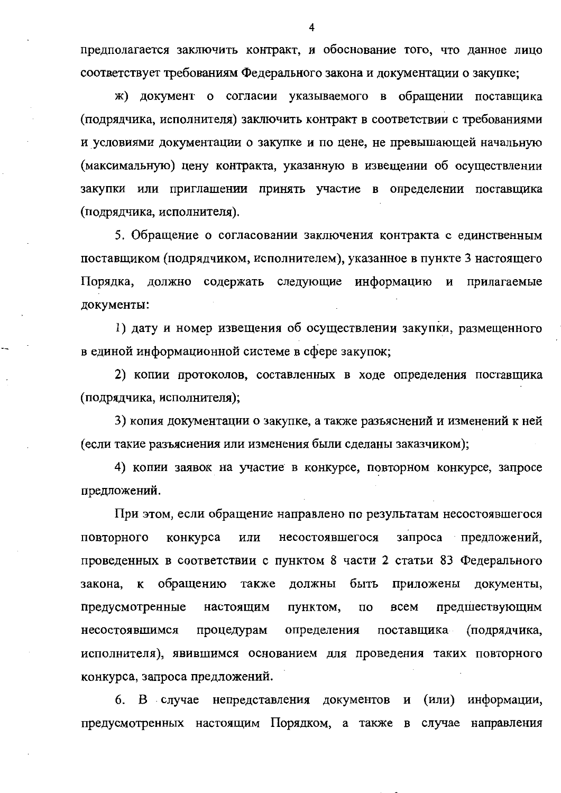предполагается заключить контракт, и обоснование того, что данное лицо соответствует требованиям Федерального закона и документации о закупке;

ж) документ о согласии указываемого в обращении поставщика (подрядчика, исполнителя) заключить контракт в соответствии с требованиями и условиями документации о закупке и по цене, не превышающей начальную (максимальную) цену контракта, указанную в извещении об осуществлении закупки или приглашении принять участие в определении поставщика (подрядчика, исполнителя).

5. Обращение о согласовании заключения контракта с единственным поставщиком (подрядчиком, исполнителем), указанное в пункте 3 настоящего Порядка, должно содержать следующие информацию и прилагаемые документы:

1) дату и номер извещения об осуществлении закупки, размещенного в единой информационной системе в сфере закупок;

2) копии протоколов, составленных в ходе определения поставщика (подрядчика, исполнителя);

3) копия документации о закупке, а также разъяснений и изменений к ней (если такие разъяснения или изменения были сделаны заказчиком);

4) копии заявок на участие в конкурсе, повторном конкурсе, запросе предложений.

При этом, если обращение направлено по результатам несостоявшегося ПОВТОРНОГО конкурса или несостоявшегося запроса предложений, проведенных в соответствии с пунктом 8 части 2 статьи 83 Федерального закона, к обращению также должны быть приложены документы, предусмотренные настоящим пунктом,  $\overline{u}$ всем предшествующим определения поставщика несостоявшимся процедурам (подрядчика, исполнителя), явившимся основанием для проведения таких повторного конкурса, запроса предложений.

(или) информации, 6. В случае непредставления документов и предусмотренных настоящим Порядком, а также в случае направления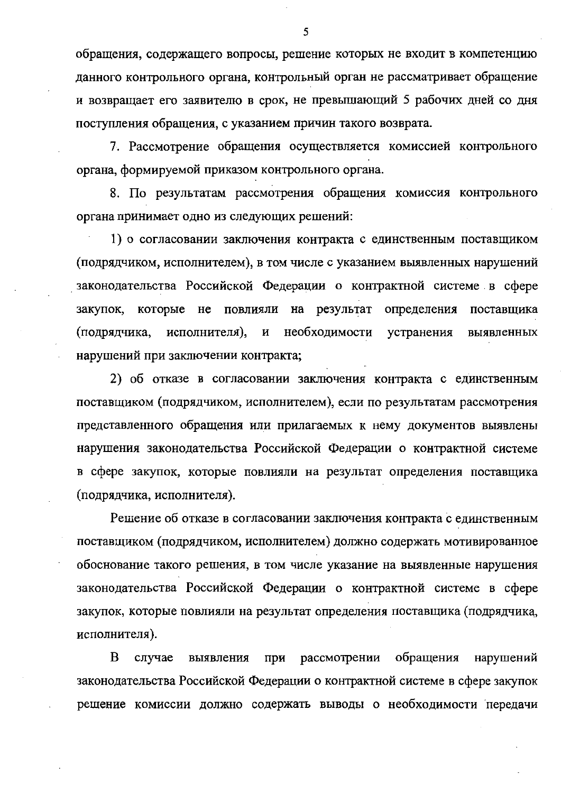обращения, содержащего вопросы, решение которых не входит в компетенцию данного контрольного органа, контрольный орган не рассматривает обращение и возвращает его заявителю в срок, не превышающий 5 рабочих дней со дня поступления обращения, с указанием причин такого возврата.

7. Рассмотрение обращения осуществляется комиссией контрольного органа, формируемой приказом контрольного органа.

8. По результатам рассмотрения обращения комиссия контрольного органа принимает одно из следующих решений:

1) о согласовании заключения контракта с единственным поставщиком (подрядчиком, исполнителем), в том числе с указанием выявленных нарушений законодательства Российской Федерации о контрактной системе в сфере которые не повлияли на результат определения поставщика закупок, необходимости исполнителя),  $\mathbf{M}$ устранения выявленных (подрядчика, нарушений при заключении контракта;

2) об отказе в согласовании заключения контракта с единственным поставщиком (подрядчиком, исполнителем), если по результатам рассмотрения представленного обращения или прилагаемых к нему документов выявлены нарушения законодательства Российской Федерации о контрактной системе в сфере закупок, которые повлияли на результат определения поставщика (подрядчика, исполнителя).

Решение об отказе в согласовании заключения контракта с единственным поставщиком (подрядчиком, исполнителем) должно содержать мотивированное обоснование такого решения, в том числе указание на выявленные нарушения законодательства Российской Федерации о контрактной системе в сфере закупок, которые повлияли на результат определения поставщика (подрядчика, исполнителя).

B обращения случае выявления при рассмотрении нарушений законодательства Российской Федерации о контрактной системе в сфере закупок решение комиссии должно содержать выводы о необходимости передачи